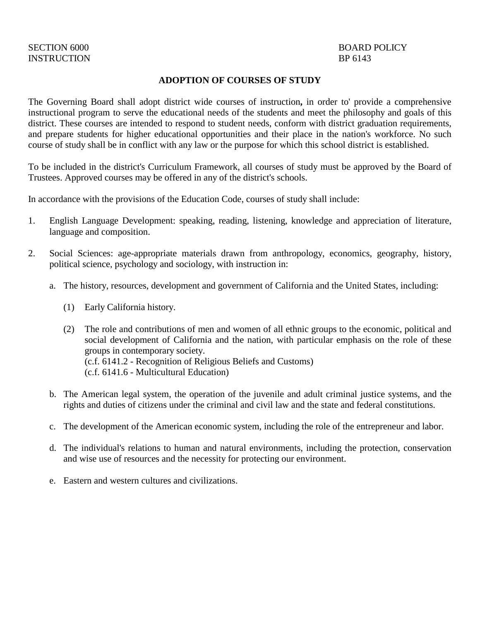#### **ADOPTION OF COURSES OF STUDY**

The Governing Board shall adopt district wide courses of instruction**,** in order to' provide a comprehensive instructional program to serve the educational needs of the students and meet the philosophy and goals of this district. These courses are intended to respond to student needs, conform with district graduation requirements, and prepare students for higher educational opportunities and their place in the nation's workforce. No such course of study shall be in conflict with any law or the purpose for which this school district is established.

To be included in the district's Curriculum Framework, all courses of study must be approved by the Board of Trustees. Approved courses may be offered in any of the district's schools.

In accordance with the provisions of the Education Code, courses of study shall include:

- 1. English Language Development: speaking, reading, listening, knowledge and appreciation of literature, language and composition.
- 2. Social Sciences: age-appropriate materials drawn from anthropology, economics, geography, history, political science, psychology and sociology, with instruction in:
	- a. The history, resources, development and government of California and the United States, including:
		- (1) Early California history.
		- (2) The role and contributions of men and women of all ethnic groups to the economic, political and social development of California and the nation, with particular emphasis on the role of these groups in contemporary society. (c.f. 6141.2 - Recognition of Religious Beliefs and Customs) (c.f. 6141.6 - Multicultural Education)
	- b. The American legal system, the operation of the juvenile and adult criminal justice systems, and the rights and duties of citizens under the criminal and civil law and the state and federal constitutions.
	- c. The development of the American economic system, including the role of the entrepreneur and labor.
	- d. The individual's relations to human and natural environments, including the protection, conservation and wise use of resources and the necessity for protecting our environment.
	- e. Eastern and western cultures and civilizations.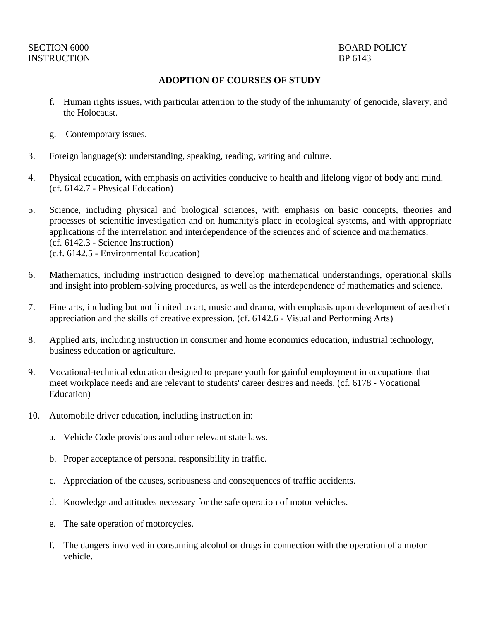# INSTRUCTION BP 6143

### SECTION 6000 BOARD POLICY

#### **ADOPTION OF COURSES OF STUDY**

- f. Human rights issues, with particular attention to the study of the inhumanity' of genocide, slavery, and the Holocaust.
- g. Contemporary issues.
- 3. Foreign language(s): understanding, speaking, reading, writing and culture.
- 4. Physical education, with emphasis on activities conducive to health and lifelong vigor of body and mind. (cf. 6142.7 - Physical Education)
- 5. Science, including physical and biological sciences, with emphasis on basic concepts, theories and processes of scientific investigation and on humanity's place in ecological systems, and with appropriate applications of the interrelation and interdependence of the sciences and of science and mathematics. (cf. 6142.3 - Science Instruction) (c.f. 6142.5 - Environmental Education)
- 6. Mathematics, including instruction designed to develop mathematical understandings, operational skills and insight into problem-solving procedures, as well as the interdependence of mathematics and science.
- 7. Fine arts, including but not limited to art, music and drama, with emphasis upon development of aesthetic appreciation and the skills of creative expression. (cf. 6142.6 - Visual and Performing Arts)
- 8. Applied arts, including instruction in consumer and home economics education, industrial technology, business education or agriculture.
- 9. Vocational-technical education designed to prepare youth for gainful employment in occupations that meet workplace needs and are relevant to students' career desires and needs. (cf. 6178 - Vocational Education)
- 10. Automobile driver education, including instruction in:
	- a. Vehicle Code provisions and other relevant state laws.
	- b. Proper acceptance of personal responsibility in traffic.
	- c. Appreciation of the causes, seriousness and consequences of traffic accidents.
	- d. Knowledge and attitudes necessary for the safe operation of motor vehicles.
	- e. The safe operation of motorcycles.
	- f. The dangers involved in consuming alcohol or drugs in connection with the operation of a motor vehicle.